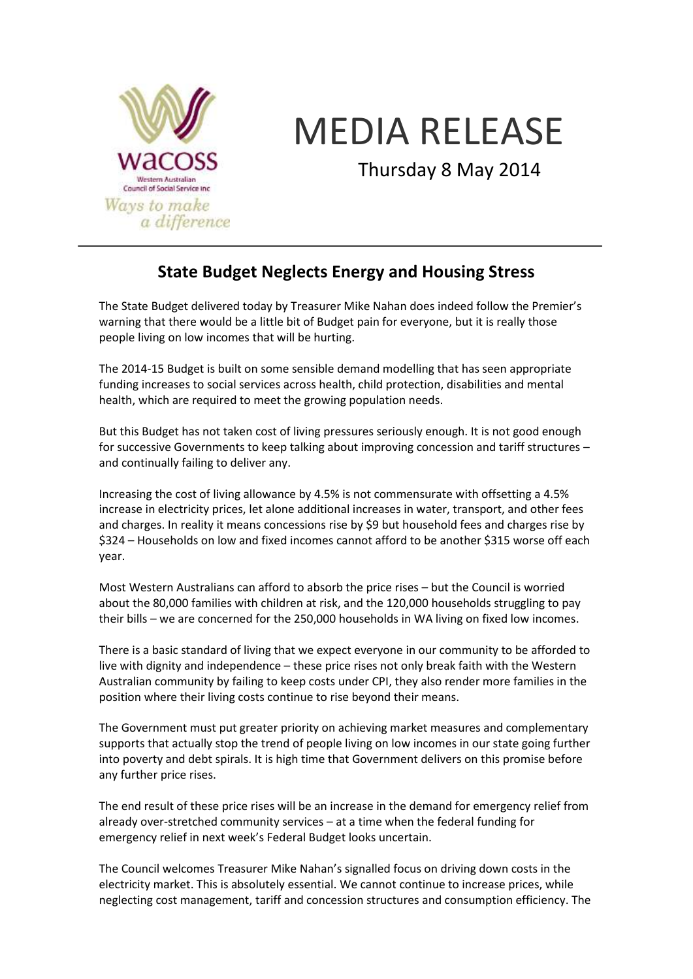

## MEDIA RELEASE

Thursday 8 May 2014

## **State Budget Neglects Energy and Housing Stress**

The State Budget delivered today by Treasurer Mike Nahan does indeed follow the Premier's warning that there would be a little bit of Budget pain for everyone, but it is really those people living on low incomes that will be hurting.

The 2014-15 Budget is built on some sensible demand modelling that has seen appropriate funding increases to social services across health, child protection, disabilities and mental health, which are required to meet the growing population needs.

But this Budget has not taken cost of living pressures seriously enough. It is not good enough for successive Governments to keep talking about improving concession and tariff structures – and continually failing to deliver any.

Increasing the cost of living allowance by 4.5% is not commensurate with offsetting a 4.5% increase in electricity prices, let alone additional increases in water, transport, and other fees and charges. In reality it means concessions rise by \$9 but household fees and charges rise by \$324 – Households on low and fixed incomes cannot afford to be another \$315 worse off each year.

Most Western Australians can afford to absorb the price rises – but the Council is worried about the 80,000 families with children at risk, and the 120,000 households struggling to pay their bills – we are concerned for the 250,000 households in WA living on fixed low incomes.

There is a basic standard of living that we expect everyone in our community to be afforded to live with dignity and independence – these price rises not only break faith with the Western Australian community by failing to keep costs under CPI, they also render more families in the position where their living costs continue to rise beyond their means.

The Government must put greater priority on achieving market measures and complementary supports that actually stop the trend of people living on low incomes in our state going further into poverty and debt spirals. It is high time that Government delivers on this promise before any further price rises.

The end result of these price rises will be an increase in the demand for emergency relief from already over-stretched community services – at a time when the federal funding for emergency relief in next week's Federal Budget looks uncertain.

The Council welcomes Treasurer Mike Nahan's signalled focus on driving down costs in the electricity market. This is absolutely essential. We cannot continue to increase prices, while neglecting cost management, tariff and concession structures and consumption efficiency. The